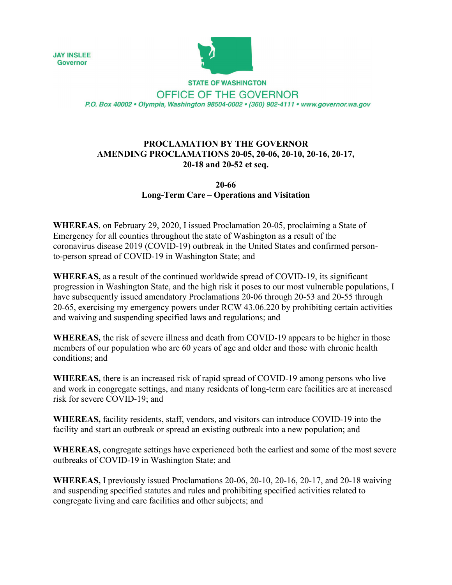**JAY INSLEE Governor** 



**STATE OF WASHINGTON** OFFICE OF THE GOVERNOR P.O. Box 40002 · Olympia, Washington 98504-0002 · (360) 902-4111 · www.governor.wa.gov

## **PROCLAMATION BY THE GOVERNOR AMENDING PROCLAMATIONS 20-05, 20-06, 20-10, 20-16, 20-17, 20-18 and 20-52 et seq.**

## **20-66 Long-Term Care – Operations and Visitation**

**WHEREAS**, on February 29, 2020, I issued Proclamation 20-05, proclaiming a State of Emergency for all counties throughout the state of Washington as a result of the coronavirus disease 2019 (COVID-19) outbreak in the United States and confirmed personto-person spread of COVID-19 in Washington State; and

**WHEREAS,** as a result of the continued worldwide spread of COVID-19, its significant progression in Washington State, and the high risk it poses to our most vulnerable populations, I have subsequently issued amendatory Proclamations 20-06 through 20-53 and 20-55 through 20-65, exercising my emergency powers under RCW 43.06.220 by prohibiting certain activities and waiving and suspending specified laws and regulations; and

**WHEREAS,** the risk of severe illness and death from COVID-19 appears to be higher in those members of our population who are 60 years of age and older and those with chronic health conditions; and

**WHEREAS,** there is an increased risk of rapid spread of COVID-19 among persons who live and work in congregate settings, and many residents of long-term care facilities are at increased risk for severe COVID-19; and

**WHEREAS,** facility residents, staff, vendors, and visitors can introduce COVID-19 into the facility and start an outbreak or spread an existing outbreak into a new population; and

**WHEREAS,** congregate settings have experienced both the earliest and some of the most severe outbreaks of COVID-19 in Washington State; and

**WHEREAS,** I previously issued Proclamations 20-06, 20-10, 20-16, 20-17, and 20-18 waiving and suspending specified statutes and rules and prohibiting specified activities related to congregate living and care facilities and other subjects; and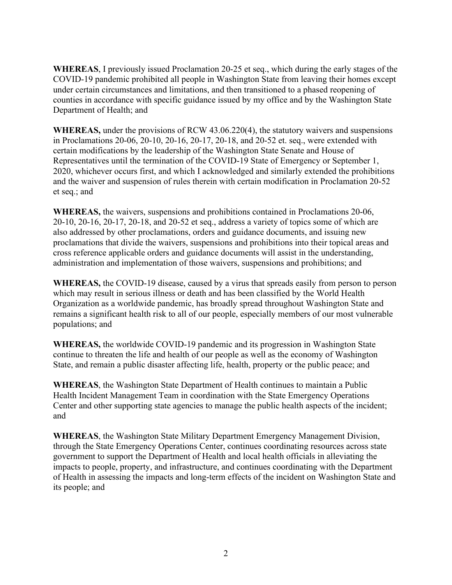**WHEREAS**, I previously issued Proclamation 20-25 et seq., which during the early stages of the COVID-19 pandemic prohibited all people in Washington State from leaving their homes except under certain circumstances and limitations, and then transitioned to a phased reopening of counties in accordance with specific guidance issued by my office and by the Washington State Department of Health; and

**WHEREAS,** under the provisions of RCW 43.06.220(4), the statutory waivers and suspensions in Proclamations 20-06, 20-10, 20-16, 20-17, 20-18, and 20-52 et. seq., were extended with certain modifications by the leadership of the Washington State Senate and House of Representatives until the termination of the COVID-19 State of Emergency or September 1, 2020, whichever occurs first, and which I acknowledged and similarly extended the prohibitions and the waiver and suspension of rules therein with certain modification in Proclamation 20-52 et seq.; and

**WHEREAS,** the waivers, suspensions and prohibitions contained in Proclamations 20-06, 20-10, 20-16, 20-17, 20-18, and 20-52 et seq., address a variety of topics some of which are also addressed by other proclamations, orders and guidance documents, and issuing new proclamations that divide the waivers, suspensions and prohibitions into their topical areas and cross reference applicable orders and guidance documents will assist in the understanding, administration and implementation of those waivers, suspensions and prohibitions; and

**WHEREAS,** the COVID-19 disease, caused by a virus that spreads easily from person to person which may result in serious illness or death and has been classified by the World Health Organization as a worldwide pandemic, has broadly spread throughout Washington State and remains a significant health risk to all of our people, especially members of our most vulnerable populations; and

**WHEREAS,** the worldwide COVID-19 pandemic and its progression in Washington State continue to threaten the life and health of our people as well as the economy of Washington State, and remain a public disaster affecting life, health, property or the public peace; and

**WHEREAS**, the Washington State Department of Health continues to maintain a Public Health Incident Management Team in coordination with the State Emergency Operations Center and other supporting state agencies to manage the public health aspects of the incident; and

**WHEREAS**, the Washington State Military Department Emergency Management Division, through the State Emergency Operations Center, continues coordinating resources across state government to support the Department of Health and local health officials in alleviating the impacts to people, property, and infrastructure, and continues coordinating with the Department of Health in assessing the impacts and long-term effects of the incident on Washington State and its people; and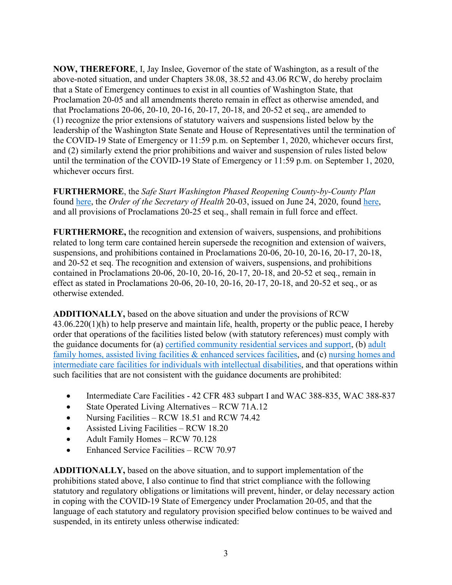**NOW, THEREFORE**, I, Jay Inslee, Governor of the state of Washington, as a result of the above-noted situation, and under Chapters 38.08, 38.52 and 43.06 RCW, do hereby proclaim that a State of Emergency continues to exist in all counties of Washington State, that Proclamation 20-05 and all amendments thereto remain in effect as otherwise amended, and that Proclamations 20-06, 20-10, 20-16, 20-17, 20-18, and 20-52 et seq., are amended to (1) recognize the prior extensions of statutory waivers and suspensions listed below by the leadership of the Washington State Senate and House of Representatives until the termination of the COVID-19 State of Emergency or 11:59 p.m. on September 1, 2020, whichever occurs first, and (2) similarly extend the prior prohibitions and waiver and suspension of rules listed below until the termination of the COVID-19 State of Emergency or 11:59 p.m. on September 1, 2020, whichever occurs first.

**FURTHERMORE**, the *Safe Start Washington Phased Reopening County-by-County Plan* found [here,](https://www.governor.wa.gov/sites/default/files/SafeStartPhasedReopening.pdf) the *Order of the Secretary of Health* 20-03, issued on June 24, 2020, found [here,](https://www.governor.wa.gov/sites/default/files/Secretary_of_Health_Order_20-03_Statewide_Face_Coverings.pdf) and all provisions of Proclamations 20-25 et seq., shall remain in full force and effect.

**FURTHERMORE,** the recognition and extension of waivers, suspensions, and prohibitions related to long term care contained herein supersede the recognition and extension of waivers, suspensions, and prohibitions contained in Proclamations 20-06, 20-10, 20-16, 20-17, 20-18, and 20-52 et seq. The recognition and extension of waivers, suspensions, and prohibitions contained in Proclamations 20-06, 20-10, 20-16, 20-17, 20-18, and 20-52 et seq., remain in effect as stated in Proclamations 20-06, 20-10, 20-16, 20-17, 20-18, and 20-52 et seq., or as otherwise extended.

**ADDITIONALLY,** based on the above situation and under the provisions of RCW 43.06.220(1)(h) to help preserve and maintain life, health, property or the public peace, I hereby order that operations of the facilities listed below (with statutory references) must comply with the guidance documents for (a) [certified community residential services and support,](https://www.governor.wa.gov/sites/default/files/CCRSS%20Final%202-25.pdf) (b) [adult](https://www.governor.wa.gov/sites/default/files/LTC%20Safe%20Start%20AFH-ALF-ESF.pdf) [family homes, assisted living facilities & enhanced services facilities,](https://www.governor.wa.gov/sites/default/files/LTC%20Safe%20Start%20AFH-ALF-ESF.pdf) and (c) [nursing homes](https://www.governor.wa.gov/sites/default/files/LTC%20Safe%20Start%20NH-ICF-IID.pdf) and [intermediate care facilities for individuals with intellectual disabilities,](https://www.governor.wa.gov/sites/default/files/LTC%20Safe%20Start%20NH-ICF-IID.pdf) and that operations within such facilities that are not consistent with the guidance documents are prohibited:

- Intermediate Care Facilities 42 CFR 483 subpart I and WAC 388-835, WAC 388-837
- State Operated Living Alternatives RCW 71A.12
- Nursing Facilities RCW 18.51 and RCW 74.42
- Assisted Living Facilities RCW 18.20
- Adult Family Homes RCW 70.128
- Enhanced Service Facilities RCW 70.97

**ADDITIONALLY,** based on the above situation, and to support implementation of the prohibitions stated above, I also continue to find that strict compliance with the following statutory and regulatory obligations or limitations will prevent, hinder, or delay necessary action in coping with the COVID-19 State of Emergency under Proclamation 20-05, and that the language of each statutory and regulatory provision specified below continues to be waived and suspended, in its entirety unless otherwise indicated: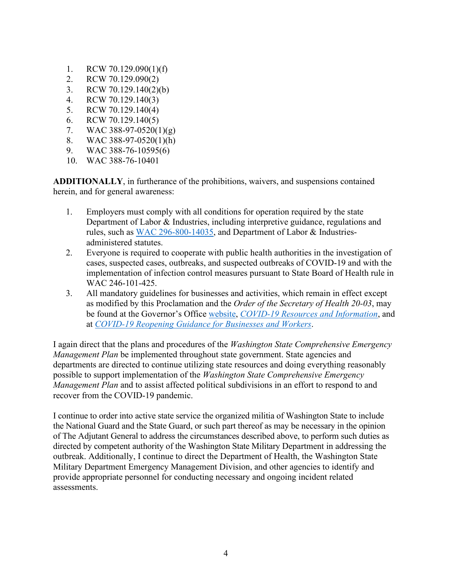- 1. RCW 70.129.090(1)(f)
- 2. RCW 70.129.090(2)
- 3. RCW 70.129.140(2)(b)
- 4. RCW 70.129.140(3)
- 5. RCW 70.129.140(4)
- 6. RCW 70.129.140(5)
- 7. WAC 388-97-0520(1)(g)
- 8. WAC 388-97-0520(1)(h)
- 9. WAC 388-76-10595(6)
- 10. WAC 388-76-10401

**ADDITIONALLY**, in furtherance of the prohibitions, waivers, and suspensions contained herein, and for general awareness:

- 1. Employers must comply with all conditions for operation required by the state Department of Labor & Industries, including interpretive guidance, regulations and rules, such as [WAC 296-800-14035,](https://www.lni.wa.gov/safety-health/safety-rules/chapter-pdfs/WAC296-800.pdf) and Department of Labor & Industriesadministered statutes.
- 2. Everyone is required to cooperate with public health authorities in the investigation of cases, suspected cases, outbreaks, and suspected outbreaks of COVID-19 and with the implementation of infection control measures pursuant to State Board of Health rule in WAC 246-101-425.
- 3. All mandatory guidelines for businesses and activities, which remain in effect except as modified by this Proclamation and the *Order of the Secretary of Health 20-03*, may be found at the Governor's Office [website,](https://www.governor.wa.gov/) *[COVID-19 Resources and Information](https://www.governor.wa.gov/issues/issues/covid-19-resources)*, and at *[COVID-19 Reopening Guidance for Businesses and Workers](https://www.governor.wa.gov/issues/issues/covid-19-resources/covid-19-reopening-guidance-businesses-and-workers)*.

I again direct that the plans and procedures of the *Washington State Comprehensive Emergency Management Plan* be implemented throughout state government. State agencies and departments are directed to continue utilizing state resources and doing everything reasonably possible to support implementation of the *Washington State Comprehensive Emergency Management Plan* and to assist affected political subdivisions in an effort to respond to and recover from the COVID-19 pandemic.

I continue to order into active state service the organized militia of Washington State to include the National Guard and the State Guard, or such part thereof as may be necessary in the opinion of The Adjutant General to address the circumstances described above, to perform such duties as directed by competent authority of the Washington State Military Department in addressing the outbreak. Additionally, I continue to direct the Department of Health, the Washington State Military Department Emergency Management Division, and other agencies to identify and provide appropriate personnel for conducting necessary and ongoing incident related assessments.